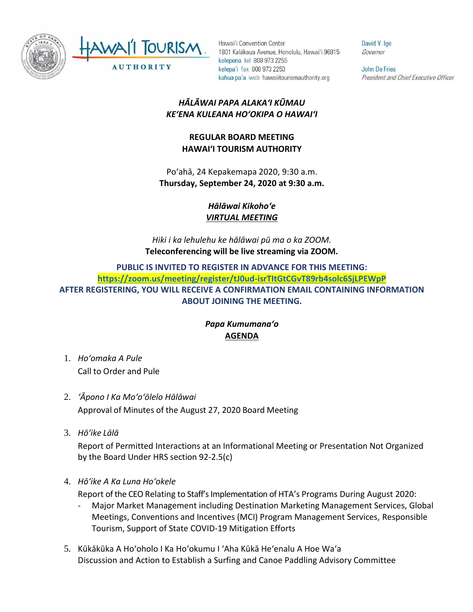

Hawai'i Convention Center 1801 Kalākaua Avenue, Honolulu, Hawai'i 96815 kelepona tel 808 973 2255 kelepa'i fax 808 973 2253 kahua pa'a web hawaiitourismauthority.org

David Y. Ige Governor

**John De Fries** President and Chief Executive Officer

## *HĀLĀWAI PAPA ALAKAʻI KŪMAU KEʻENA KULEANA HOʻOKIPA O HAWAIʻI*

## **REGULAR BOARD MEETING HAWAI'I TOURISM AUTHORITY**

Poʻahā, 24 Kepakemapa 2020, 9:30 a.m. **Thursday, September 24, 2020 at 9:30 a.m.**

> *Hālāwai Kikohoʻe VIRTUAL MEETING*

*Hiki i ka lehulehu ke hālāwai pū ma o ka ZOOM.* **Teleconferencing will be live streaming via ZOOM.**

**PUBLIC IS INVITED TO REGISTER IN ADVANCE FOR THIS MEETING: <https://zoom.us/meeting/register/tJ0ud-isrTItGtCGvT89rb4solc6SjLPEWpP> AFTER REGISTERING, YOU WILL RECEIVE A CONFIRMATION EMAIL CONTAINING INFORMATION ABOUT JOINING THE MEETING.**

## *Papa Kumumanaʻo* **AGENDA**

- 1. *Ho'omaka A Pule* Call to Order and Pule
- 2. *ʻĀpono I Ka Moʻoʻōlelo Hālāwai* Approval of Minutes of the August 27, 2020 Board Meeting
- 3. *Hō'ike Lālā*

Report of Permitted Interactions at an Informational Meeting or Presentation Not Organized by the Board Under HRS section 92-2.5(c)

4. *Hōʻike A Ka Luna Hoʻokele*

Report of the CEO Relating to Staff's Implementation of HTA's Programs During August 2020:

- Major Market Management including Destination Marketing Management Services, Global Meetings, Conventions and Incentives (MCI) Program Management Services, Responsible Tourism, Support of State COVID-19 Mitigation Efforts
- 5. Kūkākūka A Hoʻoholo I Ka Hoʻokumu I ʻAha Kūkā Heʻenalu A Hoe Waʻa Discussion and Action to Establish a Surfing and Canoe Paddling Advisory Committee